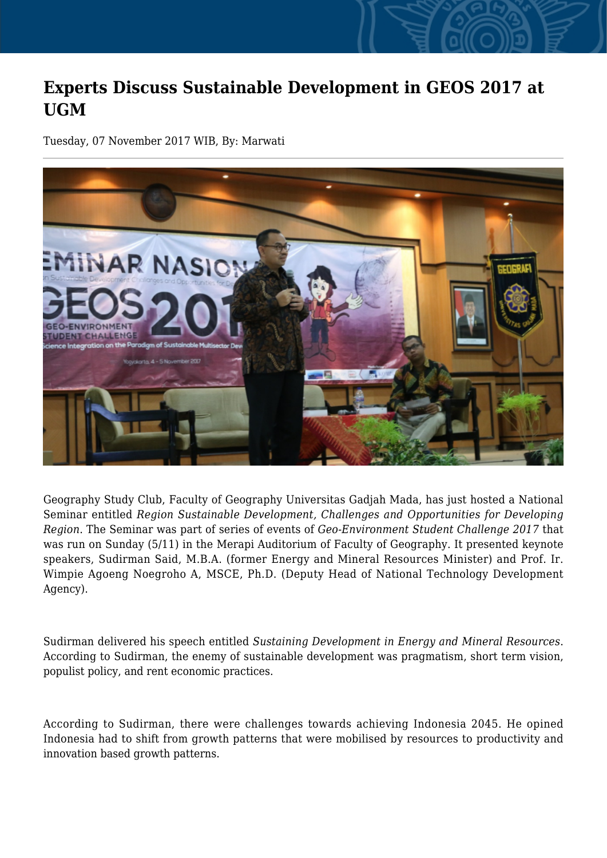## **Experts Discuss Sustainable Development in GEOS 2017 at UGM**

Tuesday, 07 November 2017 WIB, By: Marwati



Geography Study Club, Faculty of Geography Universitas Gadjah Mada, has just hosted a National Seminar entitled *Region Sustainable Development, Challenges and Opportunities for Developing Region*. The Seminar was part of series of events of *Geo-Environment Student Challenge 2017* that was run on Sunday (5/11) in the Merapi Auditorium of Faculty of Geography. It presented keynote speakers, Sudirman Said, M.B.A. (former Energy and Mineral Resources Minister) and Prof. Ir. Wimpie Agoeng Noegroho A, MSCE, Ph.D. (Deputy Head of National Technology Development Agency).

Sudirman delivered his speech entitled *Sustaining Development in Energy and Mineral Resources*. According to Sudirman, the enemy of sustainable development was pragmatism, short term vision, populist policy, and rent economic practices.

According to Sudirman, there were challenges towards achieving Indonesia 2045. He opined Indonesia had to shift from growth patterns that were mobilised by resources to productivity and innovation based growth patterns.